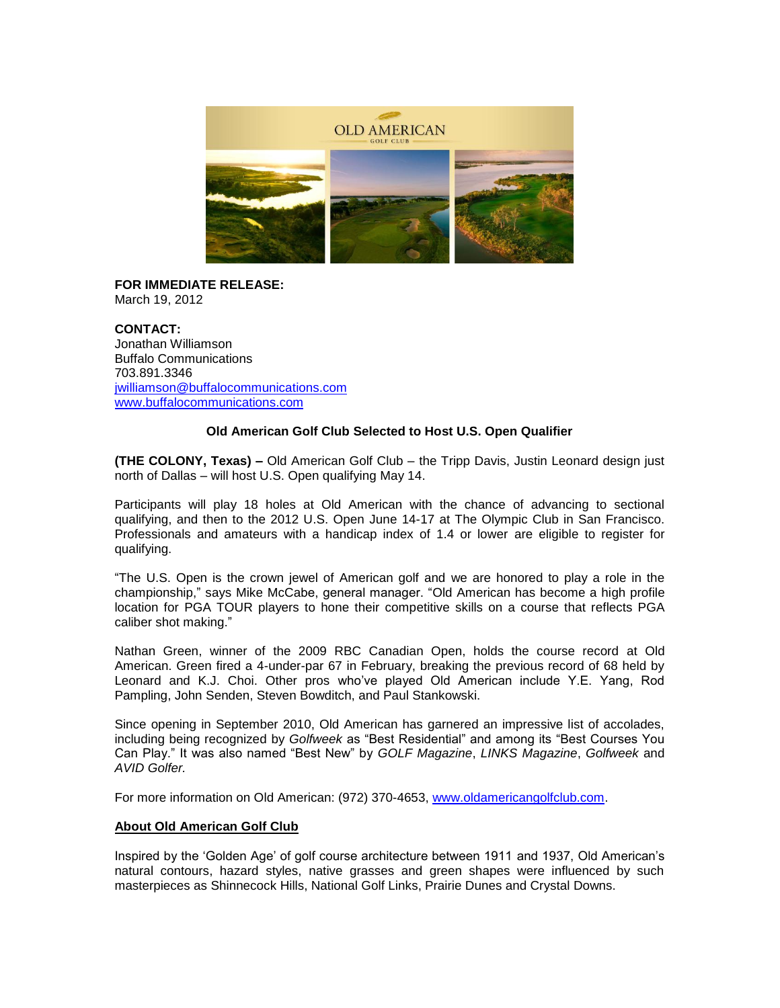

**FOR IMMEDIATE RELEASE:** March 19, 2012

**CONTACT:** Jonathan Williamson Buffalo Communications 703.891.3346 [jwilliamson@buffalocommunications.com](mailto:jwilliamson@buffalocommunications.com) [www.buffalocommunications.com](http://www.buffalocommunications.com/)

## **Old American Golf Club Selected to Host U.S. Open Qualifier**

**(THE COLONY, Texas) –** Old American Golf Club – the Tripp Davis, Justin Leonard design just north of Dallas – will host U.S. Open qualifying May 14.

Participants will play 18 holes at Old American with the chance of advancing to sectional qualifying, and then to the 2012 U.S. Open June 14-17 at The Olympic Club in San Francisco. Professionals and amateurs with a handicap index of 1.4 or lower are eligible to register for qualifying.

"The U.S. Open is the crown jewel of American golf and we are honored to play a role in the championship," says Mike McCabe, general manager. "Old American has become a high profile location for PGA TOUR players to hone their competitive skills on a course that reflects PGA caliber shot making."

Nathan Green, winner of the 2009 RBC Canadian Open, holds the course record at Old American. Green fired a 4-under-par 67 in February, breaking the previous record of 68 held by Leonard and K.J. Choi. Other pros who've played Old American include Y.E. Yang, Rod Pampling, John Senden, Steven Bowditch, and Paul Stankowski.

Since opening in September 2010, Old American has garnered an impressive list of accolades, including being recognized by *Golfweek* as "Best Residential" and among its "Best Courses You Can Play." It was also named "Best New" by *GOLF Magazine*, *LINKS Magazine*, *Golfweek* and *AVID Golfer.*

For more information on Old American: (972) 370-4653, [www.oldamericangolfclub.com.](http://www.oldamericangolfclub.com/)

## **About Old American Golf Club**

Inspired by the 'Golden Age' of golf course architecture between 1911 and 1937, Old American's natural contours, hazard styles, native grasses and green shapes were influenced by such masterpieces as Shinnecock Hills, National Golf Links, Prairie Dunes and Crystal Downs.